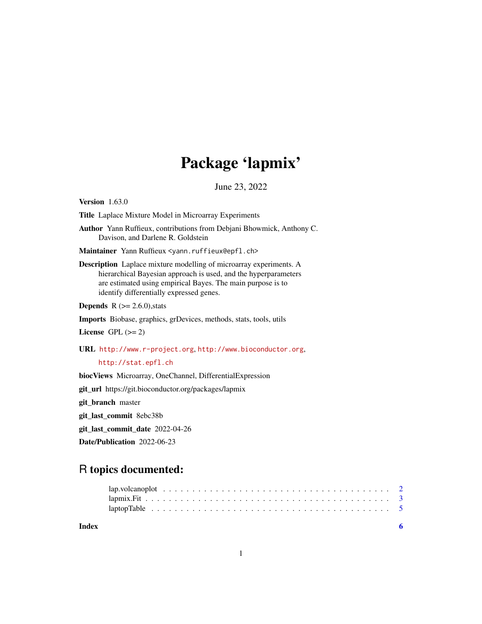## Package 'lapmix'

June 23, 2022

Version 1.63.0

Title Laplace Mixture Model in Microarray Experiments

Author Yann Ruffieux, contributions from Debjani Bhowmick, Anthony C. Davison, and Darlene R. Goldstein

Maintainer Yann Ruffieux <yann.ruffieux@epfl.ch>

Description Laplace mixture modelling of microarray experiments. A hierarchical Bayesian approach is used, and the hyperparameters are estimated using empirical Bayes. The main purpose is to identify differentially expressed genes.

**Depends** R  $(>= 2.6.0)$ , stats

Imports Biobase, graphics, grDevices, methods, stats, tools, utils

License GPL  $(>= 2)$ 

URL <http://www.r-project.org>, <http://www.bioconductor.org>,

```
http://stat.epfl.ch
```
biocViews Microarray, OneChannel, DifferentialExpression

git\_url https://git.bioconductor.org/packages/lapmix

git\_branch master

git\_last\_commit 8ebc38b

git\_last\_commit\_date 2022-04-26

Date/Publication 2022-06-23

### R topics documented:

**Index** [6](#page-5-0) **6**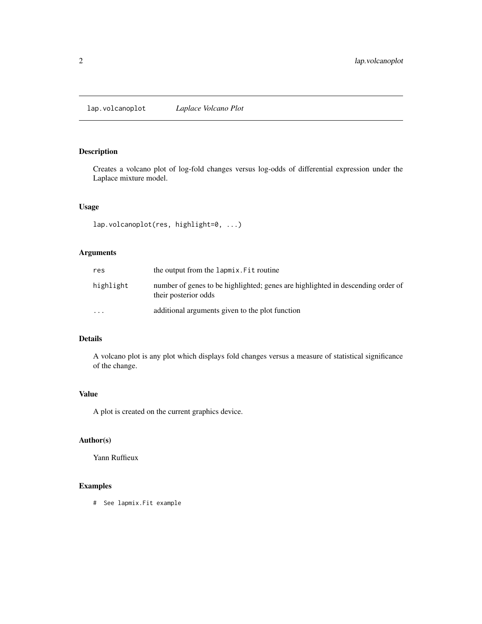<span id="page-1-0"></span>lap.volcanoplot *Laplace Volcano Plot*

#### Description

Creates a volcano plot of log-fold changes versus log-odds of differential expression under the Laplace mixture model.

#### Usage

```
lap.volcanoplot(res, highlight=0, ...)
```
#### Arguments

| res       | the output from the lapmix. Fit routine                                                                 |
|-----------|---------------------------------------------------------------------------------------------------------|
| highlight | number of genes to be highlighted; genes are highlighted in descending order of<br>their posterior odds |
| $\cdots$  | additional arguments given to the plot function                                                         |

#### Details

A volcano plot is any plot which displays fold changes versus a measure of statistical significance of the change.

#### Value

A plot is created on the current graphics device.

#### Author(s)

Yann Ruffieux

#### Examples

# See lapmix.Fit example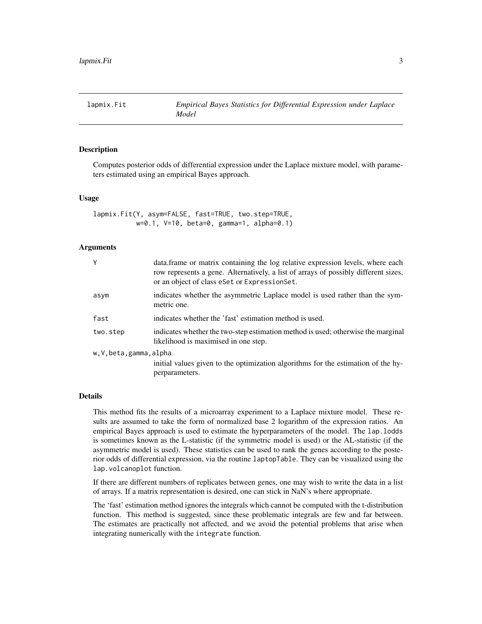<span id="page-2-0"></span>

#### **Description**

Computes posterior odds of differential expression under the Laplace mixture model, with parameters estimated using an empirical Bayes approach.

#### Usage

```
lapmix.Fit(Y, asym=FALSE, fast=TRUE, two.step=TRUE,
          w=0.1, V=10, beta=0, gamma=1, alpha=0.1)
```
#### **Arguments**

| Y                    | data. frame or matrix containing the log relative expression levels, where each<br>row represents a gene. Alternatively, a list of arrays of possibly different sizes,<br>or an object of class eset or Expression Set. |  |  |  |  |  |  |  |
|----------------------|-------------------------------------------------------------------------------------------------------------------------------------------------------------------------------------------------------------------------|--|--|--|--|--|--|--|
| asym                 | indicates whether the asymmetric Laplace model is used rather than the sym-<br>metric one.                                                                                                                              |  |  |  |  |  |  |  |
| fast                 | indicates whether the 'fast' estimation method is used.                                                                                                                                                                 |  |  |  |  |  |  |  |
| two.step             | indicates whether the two-step estimation method is used; otherwise the marginal<br>likelihood is maximised in one step.                                                                                                |  |  |  |  |  |  |  |
| w,V,beta,gamma,alpha |                                                                                                                                                                                                                         |  |  |  |  |  |  |  |
|                      | initial values given to the optimization algorithms for the estimation of the hy-                                                                                                                                       |  |  |  |  |  |  |  |
|                      | perparameters.                                                                                                                                                                                                          |  |  |  |  |  |  |  |

#### Details

This method fits the results of a microarray experiment to a Laplace mixture model. These results are assumed to take the form of normalized base 2 logarithm of the expression ratios. An empirical Bayes approach is used to estimate the hyperparameters of the model. The lap.lodds is sometimes known as the L-statistic (if the symmetric model is used) or the AL-statistic (if the asymmetric model is used). These statistics can be used to rank the genes according to the posterior odds of differential expression, via the routine laptopTable. They can be visualized using the lap.volcanoplot function.

If there are different numbers of replicates between genes, one may wish to write the data in a list of arrays. If a matrix representation is desired, one can stick in NaN's where appropriate.

The 'fast' estimation method ignores the integrals which cannot be computed with the t-distribution function. This method is suggested, since these problematic integrals are few and far between. The estimates are practically not affected, and we avoid the potential problems that arise when integrating numerically with the integrate function.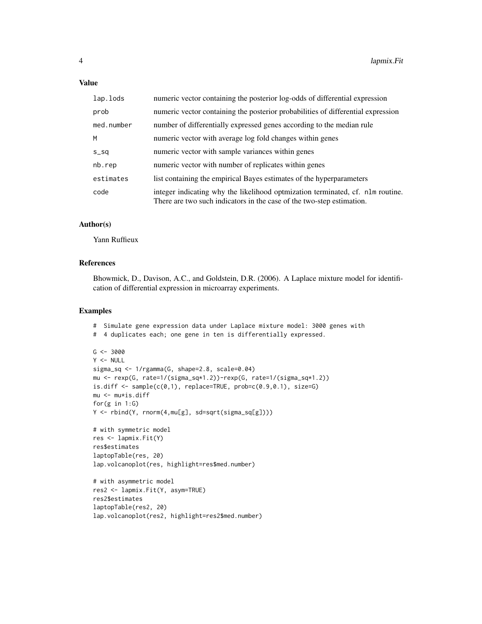#### Value

| lap.lods   | numeric vector containing the posterior log-odds of differential expression                                                                             |
|------------|---------------------------------------------------------------------------------------------------------------------------------------------------------|
| prob       | numeric vector containing the posterior probabilities of differential expression                                                                        |
| med.number | number of differentially expressed genes according to the median rule                                                                                   |
| M          | numeric vector with average log fold changes within genes                                                                                               |
| $S_S$      | numeric vector with sample variances within genes                                                                                                       |
| nb.rep     | numeric vector with number of replicates within genes                                                                                                   |
| estimates  | list containing the empirical Bayes estimates of the hyperparameters                                                                                    |
| code       | integer indicating why the likelihood optmization terminated, cf. nlm routine.<br>There are two such indicators in the case of the two-step estimation. |

#### Author(s)

Yann Ruffieux

#### References

Bhowmick, D., Davison, A.C., and Goldstein, D.R. (2006). A Laplace mixture model for identification of differential expression in microarray experiments.

#### Examples

```
# Simulate gene expression data under Laplace mixture model: 3000 genes with
# 4 duplicates each; one gene in ten is differentially expressed.
G <- 3000
Y < - NULL
sigma_sq <- 1/rgamma(G, shape=2.8, scale=0.04)
mu <- rexp(G, rate=1/(sigma_sq*1.2))-rexp(G, rate=1/(sigma_sq*1.2))
is.diff <- sample(c(0,1), replace=TRUE, prob=c(0.9,0.1), size=G)
mu <- mu*is.diff
for(g in 1:G)
Y <- rbind(Y, rnorm(4,mu[g], sd=sqrt(sigma_sq[g])))
# with symmetric model
res <- lapmix.Fit(Y)
res$estimates
laptopTable(res, 20)
lap.volcanoplot(res, highlight=res$med.number)
# with asymmetric model
res2 <- lapmix.Fit(Y, asym=TRUE)
res2$estimates
laptopTable(res2, 20)
lap.volcanoplot(res2, highlight=res2$med.number)
```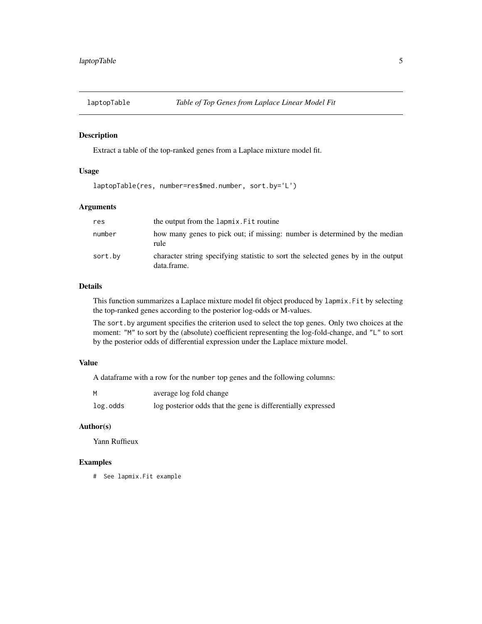<span id="page-4-0"></span>

#### Description

Extract a table of the top-ranked genes from a Laplace mixture model fit.

#### Usage

```
laptopTable(res, number=res$med.number, sort.by='L')
```
#### Arguments

| res     | the output from the lapmix. Fit routine                                                          |
|---------|--------------------------------------------------------------------------------------------------|
| number  | how many genes to pick out; if missing: number is determined by the median<br>rule               |
| sort.by | character string specifying statistic to sort the selected genes by in the output<br>data.frame. |

#### Details

This function summarizes a Laplace mixture model fit object produced by lapmix.Fit by selecting the top-ranked genes according to the posterior log-odds or M-values.

The sort.by argument specifies the criterion used to select the top genes. Only two choices at the moment: "M" to sort by the (absolute) coefficient representing the log-fold-change, and "L" to sort by the posterior odds of differential expression under the Laplace mixture model.

#### Value

A dataframe with a row for the number top genes and the following columns:

| M        | average log fold change                                      |
|----------|--------------------------------------------------------------|
| log.odds | log posterior odds that the gene is differentially expressed |

#### Author(s)

Yann Ruffieux

#### Examples

# See lapmix.Fit example